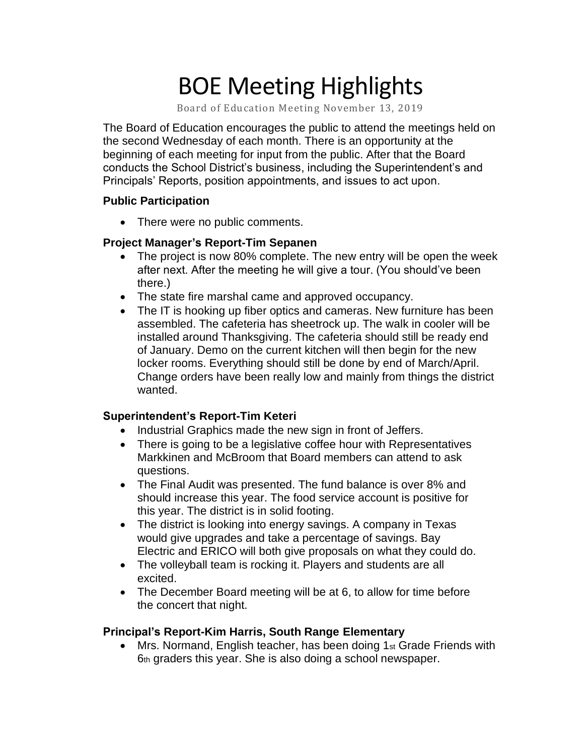# BOE Meeting Highlights

Board of Education Meeting November 13, 2019

 The Board of Education encourages the public to attend the meetings held on the second Wednesday of each month. There is an opportunity at the beginning of each meeting for input from the public. After that the Board conducts the School District's business, including the Superintendent's and Principals' Reports, position appointments, and issues to act upon.

### **Public Participation**

• There were no public comments.

### **Project Manager's Report-Tim Sepanen**

- • The project is now 80% complete. The new entry will be open the week after next. After the meeting he will give a tour. (You should've been there.)
- The state fire marshal came and approved occupancy.
- • The IT is hooking up fiber optics and cameras. New furniture has been assembled. The cafeteria has sheetrock up. The walk in cooler will be installed around Thanksgiving. The cafeteria should still be ready end of January. Demo on the current kitchen will then begin for the new locker rooms. Everything should still be done by end of March/April. Change orders have been really low and mainly from things the district wanted.

### **Superintendent's Report-Tim Keteri**

- Industrial Graphics made the new sign in front of Jeffers.
- There is going to be a legislative coffee hour with Representatives Markkinen and McBroom that Board members can attend to ask questions.
- The Final Audit was presented. The fund balance is over 8% and should increase this year. The food service account is positive for this year. The district is in solid footing.
- The district is looking into energy savings. A company in Texas would give upgrades and take a percentage of savings. Bay Electric and ERICO will both give proposals on what they could do.
- The volleyball team is rocking it. Players and students are all excited.
- The December Board meeting will be at 6, to allow for time before the concert that night.

### **Principal's Report-Kim Harris, South Range Elementary**

• Mrs. Normand, English teacher, has been doing 1st Grade Friends with 6th graders this year. She is also doing a school newspaper.